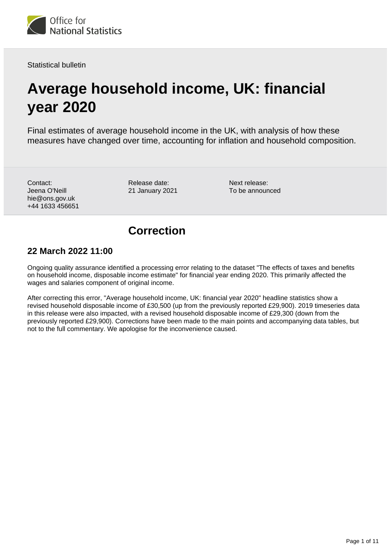

Statistical bulletin

# **Average household income, UK: financial year 2020**

Final estimates of average household income in the UK, with analysis of how these measures have changed over time, accounting for inflation and household composition.

Contact: Jeena O'Neill hie@ons.gov.uk +44 1633 456651

Release date: 21 January 2021

Next release: To be announced

### **Correction**

### **22 March 2022 11:00**

Ongoing quality assurance identified a processing error relating to the dataset "The effects of taxes and benefits on household income, disposable income estimate" for financial year ending 2020. This primarily affected the wages and salaries component of original income.

After correcting this error, "Average household income, UK: financial year 2020" headline statistics show a revised household disposable income of £30,500 (up from the previously reported £29,900). 2019 timeseries data in this release were also impacted, with a revised household disposable income of £29,300 (down from the previously reported £29,900). Corrections have been made to the main points and accompanying data tables, but not to the full commentary. We apologise for the inconvenience caused.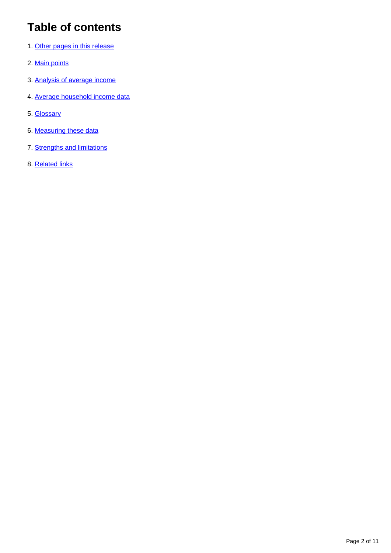## **Table of contents**

- 1. [Other pages in this release](#page-2-0)
- 2. [Main points](#page-2-1)
- 3. [Analysis of average income](#page-3-0)
- 4. [Average household income data](#page-7-0)
- 5. [Glossary](#page-7-1)
- 6. [Measuring these data](#page-8-0)
- 7. [Strengths and limitations](#page-9-0)
- 8. [Related links](#page-10-0)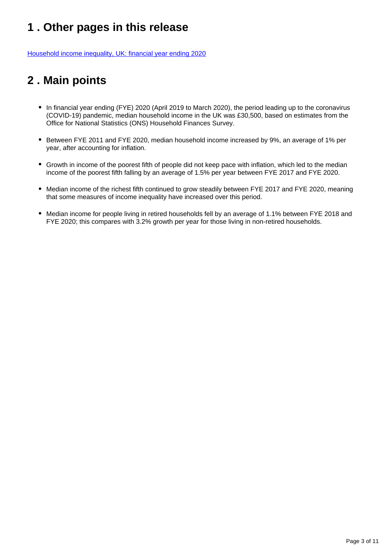## <span id="page-2-0"></span>**1 . Other pages in this release**

[Household income inequality, UK: financial year ending 2020](https://www.ons.gov.uk/peoplepopulationandcommunity/personalandhouseholdfinances/incomeandwealth/bulletins/householdincomeinequalityfinancial/financialyearending2020)

## <span id="page-2-1"></span>**2 . Main points**

- In financial year ending (FYE) 2020 (April 2019 to March 2020), the period leading up to the coronavirus (COVID-19) pandemic, median household income in the UK was £30,500, based on estimates from the Office for National Statistics (ONS) Household Finances Survey.
- Between FYE 2011 and FYE 2020, median household income increased by 9%, an average of 1% per year, after accounting for inflation.
- Growth in income of the poorest fifth of people did not keep pace with inflation, which led to the median income of the poorest fifth falling by an average of 1.5% per year between FYE 2017 and FYE 2020.
- Median income of the richest fifth continued to grow steadily between FYE 2017 and FYE 2020, meaning that some measures of income inequality have increased over this period.
- Median income for people living in retired households fell by an average of 1.1% between FYE 2018 and FYE 2020; this compares with 3.2% growth per year for those living in non-retired households.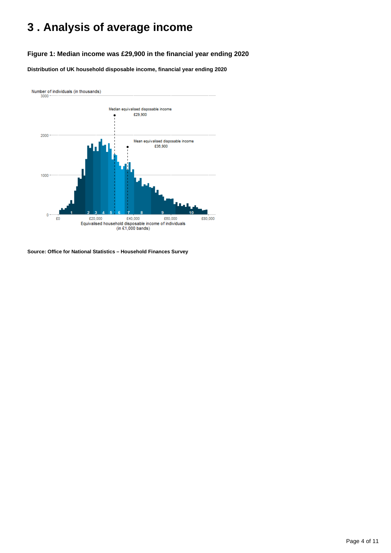## <span id="page-3-0"></span>**3 . Analysis of average income**

#### **Figure 1: Median income was £29,900 in the financial year ending 2020**

**Distribution of UK household disposable income, financial year ending 2020**



**Source: Office for National Statistics – Household Finances Survey**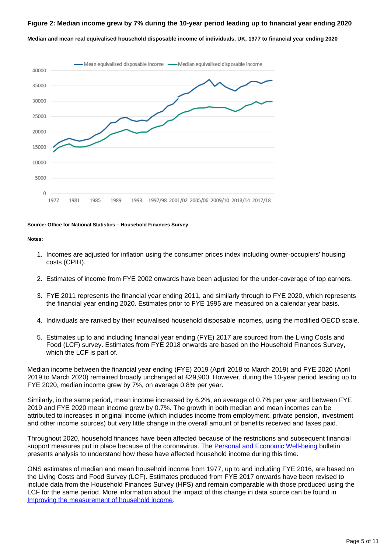#### **Figure 2: Median income grew by 7% during the 10-year period leading up to financial year ending 2020**

**Median and mean real equivalised household disposable income of individuals, UK, 1977 to financial year ending 2020**



#### **Source: Office for National Statistics – Household Finances Survey**

#### **Notes:**

- 1. Incomes are adjusted for inflation using the consumer prices index including owner-occupiers' housing costs (CPIH).
- 2. Estimates of income from FYE 2002 onwards have been adjusted for the under-coverage of top earners.
- 3. FYE 2011 represents the financial year ending 2011, and similarly through to FYE 2020, which represents the financial year ending 2020. Estimates prior to FYE 1995 are measured on a calendar year basis.
- 4. Individuals are ranked by their equivalised household disposable incomes, using the modified OECD scale.
- 5. Estimates up to and including financial year ending (FYE) 2017 are sourced from the Living Costs and Food (LCF) survey. Estimates from FYE 2018 onwards are based on the Household Finances Survey, which the LCF is part of.

Median income between the financial year ending (FYE) 2019 (April 2018 to March 2019) and FYE 2020 (April 2019 to March 2020) remained broadly unchanged at £29,900. However, during the 10-year period leading up to FYE 2020, median income grew by 7%, on average 0.8% per year.

Similarly, in the same period, mean income increased by 6.2%, an average of 0.7% per year and between FYE 2019 and FYE 2020 mean income grew by 0.7%. The growth in both median and mean incomes can be attributed to increases in original income (which includes income from employment, private pension, investment and other income sources) but very little change in the overall amount of benefits received and taxes paid.

Throughout 2020, household finances have been affected because of the restrictions and subsequent financial support measures put in place because of the coronavirus. The [Personal and Economic Well-being](https://www.ons.gov.uk/peoplepopulationandcommunity/wellbeing/bulletins/personalandeconomicwellbeingintheuk/january2021) bulletin presents analysis to understand how these have affected household income during this time.

ONS estimates of median and mean household income from 1977, up to and including FYE 2016, are based on the Living Costs and Food Survey (LCF). Estimates produced from FYE 2017 onwards have been revised to include data from the Household Finances Survey (HFS) and remain comparable with those produced using the LCF for the same period. More information about the impact of this change in data source can be found in [Improving the measurement of household income](https://www.ons.gov.uk/peoplepopulationandcommunity/personalandhouseholdfinances/incomeandwealth/methodologies/improvingthemeasurementofhouseholdincome).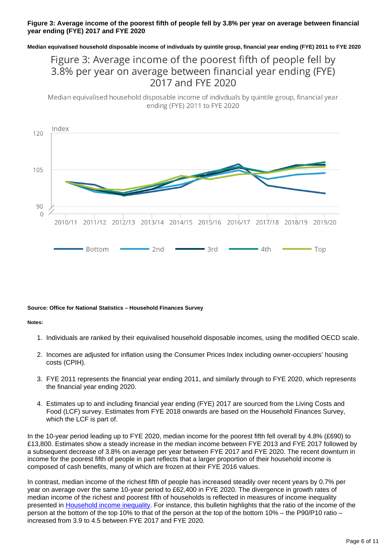#### **Figure 3: Average income of the poorest fifth of people fell by 3.8% per year on average between financial year ending (FYE) 2017 and FYE 2020**

**Median equivalised household disposable income of indivduals by quintile group, financial year ending (FYE) 2011 to FYE 2020**

### Figure 3: Average income of the poorest fifth of people fell by 3.8% per year on average between financial year ending (FYE) 2017 and FYE 2020

Median equivalised household disposable income of indivduals by quintile group, financial year ending (FYE) 2011 to FYE 2020



#### **Source: Office for National Statistics – Household Finances Survey**

#### **Notes:**

- 1. Individuals are ranked by their equivalised household disposable incomes, using the modified OECD scale.
- 2. Incomes are adjusted for inflation using the Consumer Prices Index including owner-occupiers' housing costs (CPIH).
- 3. FYE 2011 represents the financial year ending 2011, and similarly through to FYE 2020, which represents the financial year ending 2020.
- 4. Estimates up to and including financial year ending (FYE) 2017 are sourced from the Living Costs and Food (LCF) survey. Estimates from FYE 2018 onwards are based on the Household Finances Survey, which the LCF is part of.

In the 10-year period leading up to FYE 2020, median income for the poorest fifth fell overall by 4.8% (£690) to £13,800. Estimates show a steady increase in the median income between FYE 2013 and FYE 2017 followed by a subsequent decrease of 3.8% on average per year between FYE 2017 and FYE 2020. The recent downturn in income for the poorest fifth of people in part reflects that a larger proportion of their household income is composed of cash benefits, many of which are frozen at their FYE 2016 values.

In contrast, median income of the richest fifth of people has increased steadily over recent years by 0.7% per year on average over the same 10-year period to £62,400 in FYE 2020. The divergence in growth rates of median income of the richest and poorest fifth of households is reflected in measures of income inequality presented in [Household income inequality.](https://www.ons.gov.uk/peoplepopulationandcommunity/personalandhouseholdfinances/incomeandwealth/bulletins/householdincomeinequalityfinancial/financialyearending2020) For instance, this bulletin highlights that the ratio of the income of the person at the bottom of the top 10% to that of the person at the top of the bottom 10% – the P90/P10 ratio – increased from 3.9 to 4.5 between FYE 2017 and FYE 2020.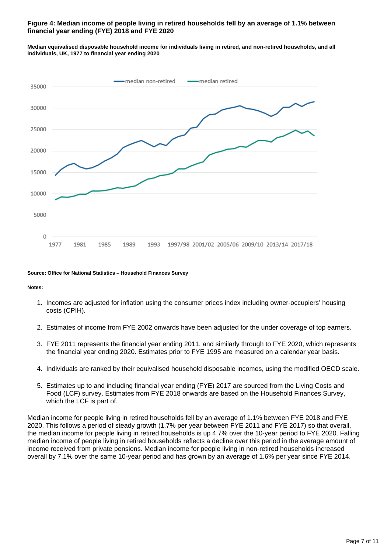#### **Figure 4: Median income of people living in retired households fell by an average of 1.1% between financial year ending (FYE) 2018 and FYE 2020**

**Median equivalised disposable household income for individuals living in retired, and non-retired households, and all individuals, UK, 1977 to financial year ending 2020**



#### **Source: Office for National Statistics – Household Finances Survey**

**Notes:**

- 1. Incomes are adjusted for inflation using the consumer prices index including owner-occupiers' housing costs (CPIH).
- 2. Estimates of income from FYE 2002 onwards have been adjusted for the under coverage of top earners.
- 3. FYE 2011 represents the financial year ending 2011, and similarly through to FYE 2020, which represents the financial year ending 2020. Estimates prior to FYE 1995 are measured on a calendar year basis.
- 4. Individuals are ranked by their equivalised household disposable incomes, using the modified OECD scale.
- 5. Estimates up to and including financial year ending (FYE) 2017 are sourced from the Living Costs and Food (LCF) survey. Estimates from FYE 2018 onwards are based on the Household Finances Survey, which the LCF is part of.

Median income for people living in retired households fell by an average of 1.1% between FYE 2018 and FYE 2020. This follows a period of steady growth (1.7% per year between FYE 2011 and FYE 2017) so that overall, the median income for people living in retired households is up 4.7% over the 10-year period to FYE 2020. Falling median income of people living in retired households reflects a decline over this period in the average amount of income received from private pensions. Median income for people living in non-retired households increased overall by 7.1% over the same 10-year period and has grown by an average of 1.6% per year since FYE 2014.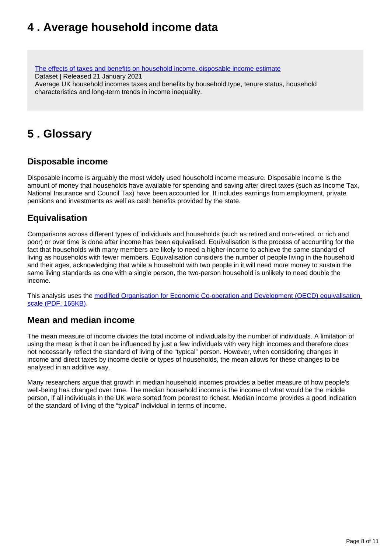### <span id="page-7-0"></span>**4 . Average household income data**

[The effects of taxes and benefits on household income, disposable income estimate](https://www.ons.gov.uk/peoplepopulationandcommunity/personalandhouseholdfinances/incomeandwealth/datasets/householddisposableincomeandinequality) Dataset | Released 21 January 2021 Average UK household incomes taxes and benefits by household type, tenure status, household characteristics and long-term trends in income inequality.

### <span id="page-7-1"></span>**5 . Glossary**

### **Disposable income**

Disposable income is arguably the most widely used household income measure. Disposable income is the amount of money that households have available for spending and saving after direct taxes (such as Income Tax, National Insurance and Council Tax) have been accounted for. It includes earnings from employment, private pensions and investments as well as cash benefits provided by the state.

### **Equivalisation**

Comparisons across different types of individuals and households (such as retired and non-retired, or rich and poor) or over time is done after income has been equivalised. Equivalisation is the process of accounting for the fact that households with many members are likely to need a higher income to achieve the same standard of living as households with fewer members. Equivalisation considers the number of people living in the household and their ages, acknowledging that while a household with two people in it will need more money to sustain the same living standards as one with a single person, the two-person household is unlikely to need double the income.

This analysis uses the modified Organisation for Economic Co-operation and Development (OECD) equivalisation [scale \(PDF, 165KB\)](http://webarchive.nationalarchives.gov.uk/20160105160709/http:/www.ons.gov.uk/ons/rel/elmr/economic-and-labour-market-review/no--1--january-2010/using-the-oecd-equivalence-scale-in-taxes-and-benefits-analysis.pdf).

### **Mean and median income**

The mean measure of income divides the total income of individuals by the number of individuals. A limitation of using the mean is that it can be influenced by just a few individuals with very high incomes and therefore does not necessarily reflect the standard of living of the "typical" person. However, when considering changes in income and direct taxes by income decile or types of households, the mean allows for these changes to be analysed in an additive way.

Many researchers argue that growth in median household incomes provides a better measure of how people's well-being has changed over time. The median household income is the income of what would be the middle person, if all individuals in the UK were sorted from poorest to richest. Median income provides a good indication of the standard of living of the "typical" individual in terms of income.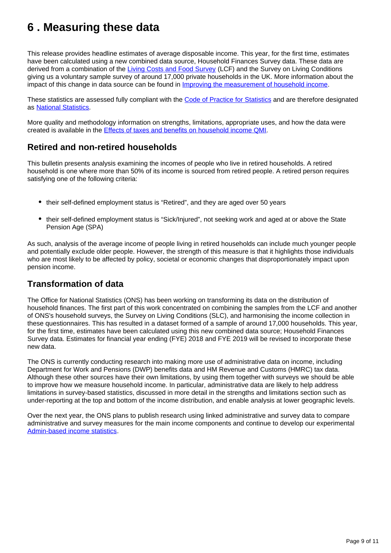## <span id="page-8-0"></span>**6 . Measuring these data**

This release provides headline estimates of average disposable income. This year, for the first time, estimates have been calculated using a new combined data source, Household Finances Survey data. These data are derived from a combination of the [Living Costs and Food Survey](https://www.ons.gov.uk/peoplepopulationandcommunity/personalandhouseholdfinances/incomeandwealth/methodologies/livingcostsandfoodsurvey) (LCF) and the Survey on Living Conditions giving us a voluntary sample survey of around 17,000 private households in the UK. More information about the impact of this change in data source can be found in [Improving the measurement of household income](https://www.ons.gov.uk/peoplepopulationandcommunity/personalandhouseholdfinances/incomeandwealth/methodologies/improvingthemeasurementofhouseholdincome).

These statistics are assessed fully compliant with the [Code of Practice for Statistics](https://code.statisticsauthority.gov.uk/) and are therefore designated as [National Statistics.](https://uksa.statisticsauthority.gov.uk/list-of-national-statistics/)

More quality and methodology information on strengths, limitations, appropriate uses, and how the data were created is available in the [Effects of taxes and benefits on household income QMI.](https://www.ons.gov.uk/peoplepopulationandcommunity/personalandhouseholdfinances/incomeandwealth/methodologies/theeffectsoftaxesandbenefitsonukhouseholdincome)

### **Retired and non-retired households**

This bulletin presents analysis examining the incomes of people who live in retired households. A retired household is one where more than 50% of its income is sourced from retired people. A retired person requires satisfying one of the following criteria:

- their self-defined employment status is "Retired", and they are aged over 50 years
- their self-defined employment status is "Sick/Injured", not seeking work and aged at or above the State Pension Age (SPA)

As such, analysis of the average income of people living in retired households can include much younger people and potentially exclude older people. However, the strength of this measure is that it highlights those individuals who are most likely to be affected by policy, societal or economic changes that disproportionately impact upon pension income.

### **Transformation of data**

The Office for National Statistics (ONS) has been working on transforming its data on the distribution of household finances. The first part of this work concentrated on combining the samples from the LCF and another of ONS's household surveys, the Survey on Living Conditions (SLC), and harmonising the income collection in these questionnaires. This has resulted in a dataset formed of a sample of around 17,000 households. This year, for the first time, estimates have been calculated using this new combined data source; Household Finances Survey data. Estimates for financial year ending (FYE) 2018 and FYE 2019 will be revised to incorporate these new data.

The ONS is currently conducting research into making more use of administrative data on income, including Department for Work and Pensions (DWP) benefits data and HM Revenue and Customs (HMRC) tax data. Although these other sources have their own limitations, by using them together with surveys we should be able to improve how we measure household income. In particular, administrative data are likely to help address limitations in survey-based statistics, discussed in more detail in the strengths and limitations section such as under-reporting at the top and bottom of the income distribution, and enable analysis at lower geographic levels.

Over the next year, the ONS plans to publish research using linked administrative and survey data to compare administrative and survey measures for the main income components and continue to develop our experimental [Admin-based income statistics](https://www.ons.gov.uk/census/censustransformationprogramme/administrativedatacensusproject/administrativedatacensusresearchoutputs/populationcharacteristics/adminbasedincomestatisticsenglandandwalestaxyearending2016).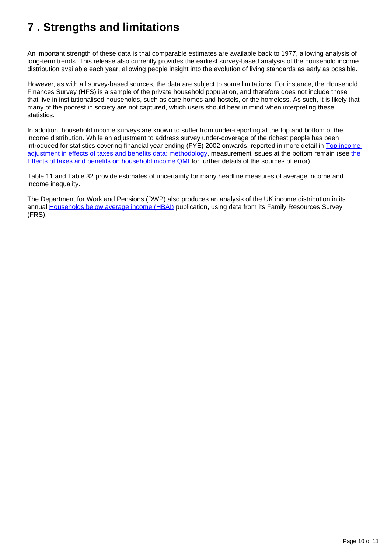## <span id="page-9-0"></span>**7 . Strengths and limitations**

An important strength of these data is that comparable estimates are available back to 1977, allowing analysis of long-term trends. This release also currently provides the earliest survey-based analysis of the household income distribution available each year, allowing people insight into the evolution of living standards as early as possible.

However, as with all survey-based sources, the data are subject to some limitations. For instance, the Household Finances Survey (HFS) is a sample of the private household population, and therefore does not include those that live in institutionalised households, such as care homes and hostels, or the homeless. As such, it is likely that many of the poorest in society are not captured, which users should bear in mind when interpreting these statistics.

In addition, household income surveys are known to suffer from under-reporting at the top and bottom of the income distribution. While an adjustment to address survey under-coverage of the richest people has been introduced for statistics covering financial year ending (FYE) 2002 onwards, reported in more detail in Top income [adjustment in effects of taxes and benefits data: methodology,](https://www.ons.gov.uk/economy/nationalaccounts/uksectoraccounts/compendium/economicreview/february2020/topincomeadjustmentineffectsoftaxesandbenefitsdatamethodology) measurement issues at [the](https://www.ons.gov.uk/peoplepopulationandcommunity/personalandhouseholdfinances/incomeandwealth/qmis/theeffectsoftaxesandbenefitsonhouseholdincomeqmi) bottom remain (see the [Effects of taxes and benefits on household income QMI](https://www.ons.gov.uk/peoplepopulationandcommunity/personalandhouseholdfinances/incomeandwealth/qmis/theeffectsoftaxesandbenefitsonhouseholdincomeqmi) for further details of the sources of error).

Table 11 and Table 32 provide estimates of uncertainty for many headline measures of average income and income inequality.

The Department for Work and Pensions (DWP) also produces an analysis of the UK income distribution in its annual [Households below average income \(HBAI\)](https://www.gov.uk/government/collections/households-below-average-income-hbai--2) publication, using data from its Family Resources Survey (FRS).